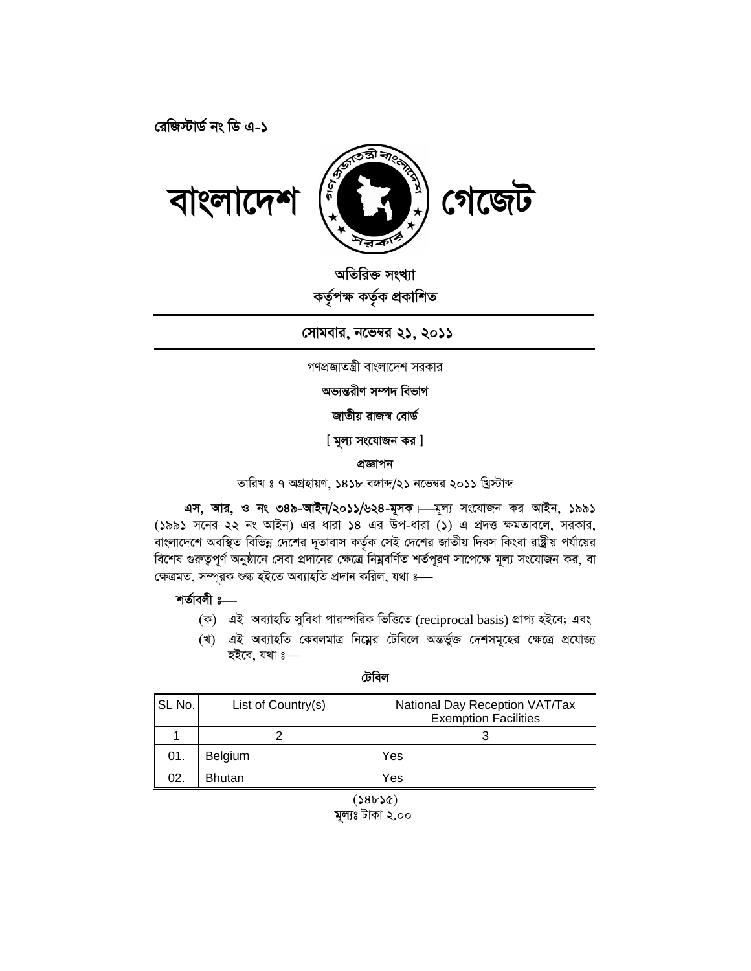রেজিস্টার্ড নং ডি এ-১



বাংলাদেশ

অতিরিক্ত সংখ্যা কৰ্তৃপক্ষ কৰ্তৃক প্ৰকাশিত

সোমবার, নভেম্বর ২১, ২০১১

গণপ্রজাতন্ত্রী বাংলাদেশ সরকার

অভ্যন্তরীণ সম্পদ বিভাগ

জাতীয় রাজস্ব বোর্ড

[ মূল্য সংযোজন কর ]

প্ৰজ্ঞাপন

তারিখ ঃ ৭ অগ্রহায়ণ, ১৪১৮ বঙ্গান্দ/২১ নভেম্বর ২০১১ খ্রিস্টাব্দ

এস, আর, ও নং ৩৪৯-আইন/২০১১/৬২৪-মূসক। সংযোজন কর আইন, ১৯৯১ (১৯৯১ সনের ২২ নং আইন) এর ধারা ১৪ এর উপ-ধারা (১) এ প্রদত্ত ক্ষমতাবলে, সরকার, বাংলাদেশে অবস্থিত বিভিন্ন দেশের দূতাবাস কর্তৃক সেই দেশের জাতীয় দিবস কিংবা রাষ্ট্রীয় পর্যায়ের বিশেষ গুরুত্বপূর্ণ অনুষ্ঠানে সেবা প্রদানের ক্ষেত্রে নিম্নবর্ণিত শর্তপূরণ সাপেক্ষে মূল্য সংযোজন কর, বা ক্ষেত্ৰমত, সম্পূরক শুল্ক হইতে অব্যাহতি প্রদান করিল, যথা ঃ—

শৰ্তাবলী ঃ—

- (ক) এই অব্যাহতি সুবিধা পারস্পরিক ভিত্তিতে (reciprocal basis) প্রাপ্য হইবে; এবং
- (খ) এই অব্যাহতি কেবলমাত্র নিম্নের টেবিলে অন্তর্ভুক্ত দেশসমূহের ক্ষেত্রে প্রযোজ্য হইবে, যথা 3-

টেবিল

| SL No. | List of Country(s) | National Day Reception VAT/Tax<br><b>Exemption Facilities</b> |
|--------|--------------------|---------------------------------------------------------------|
|        |                    |                                                               |
| 01.    | Belgium            | Yes                                                           |
| 02.    | <b>Bhutan</b>      | Yes                                                           |

 $(38b3c)$ 

মূল্যঃ টাকা ২.০০